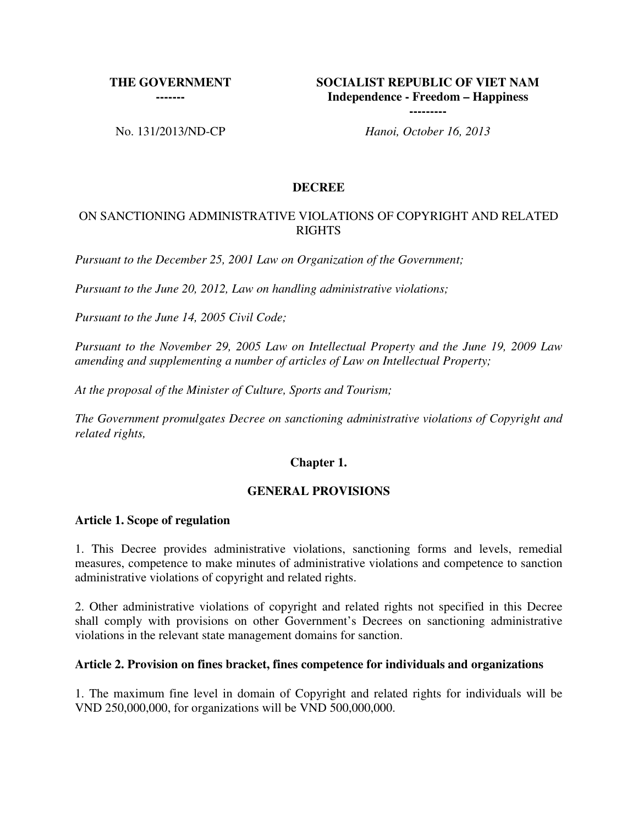# **THE GOVERNMENT**

**-------**

**SOCIALIST REPUBLIC OF VIET NAM Independence - Freedom – Happiness** 

No. 131/2013/ND-CP *Hanoi, October 16, 2013*

**---------**

#### **DECREE**

#### ON SANCTIONING ADMINISTRATIVE VIOLATIONS OF COPYRIGHT AND RELATED RIGHTS

*Pursuant to the December 25, 2001 Law on Organization of the Government;*

*Pursuant to the June 20, 2012, Law on handling administrative violations;* 

*Pursuant to the June 14, 2005 Civil Code;* 

*Pursuant to the November 29, 2005 Law on Intellectual Property and the June 19, 2009 Law amending and supplementing a number of articles of Law on Intellectual Property;*

*At the proposal of the Minister of Culture, Sports and Tourism;*

*The Government promulgates Decree on sanctioning administrative violations of Copyright and related rights,*

#### **Chapter 1.**

#### **GENERAL PROVISIONS**

#### **Article 1. Scope of regulation**

1. This Decree provides administrative violations, sanctioning forms and levels, remedial measures, competence to make minutes of administrative violations and competence to sanction administrative violations of copyright and related rights.

2. Other administrative violations of copyright and related rights not specified in this Decree shall comply with provisions on other Government's Decrees on sanctioning administrative violations in the relevant state management domains for sanction.

#### **Article 2. Provision on fines bracket, fines competence for individuals and organizations**

1. The maximum fine level in domain of Copyright and related rights for individuals will be VND 250,000,000, for organizations will be VND 500,000,000.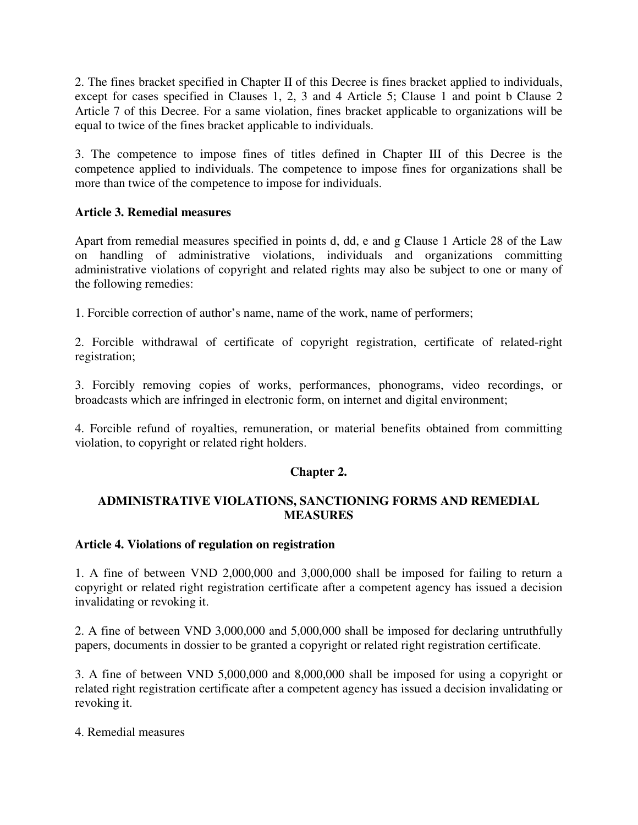2. The fines bracket specified in Chapter II of this Decree is fines bracket applied to individuals, except for cases specified in Clauses 1, 2, 3 and 4 Article 5; Clause 1 and point b Clause 2 Article 7 of this Decree. For a same violation, fines bracket applicable to organizations will be equal to twice of the fines bracket applicable to individuals.

3. The competence to impose fines of titles defined in Chapter III of this Decree is the competence applied to individuals. The competence to impose fines for organizations shall be more than twice of the competence to impose for individuals.

### **Article 3. Remedial measures**

Apart from remedial measures specified in points d, dd, e and g Clause 1 Article 28 of the Law on handling of administrative violations, individuals and organizations committing administrative violations of copyright and related rights may also be subject to one or many of the following remedies:

1. Forcible correction of author's name, name of the work, name of performers;

2. Forcible withdrawal of certificate of copyright registration, certificate of related-right registration;

3. Forcibly removing copies of works, performances, phonograms, video recordings, or broadcasts which are infringed in electronic form, on internet and digital environment;

4. Forcible refund of royalties, remuneration, or material benefits obtained from committing violation, to copyright or related right holders.

### **Chapter 2.**

### **ADMINISTRATIVE VIOLATIONS, SANCTIONING FORMS AND REMEDIAL MEASURES**

#### **Article 4. Violations of regulation on registration**

1. A fine of between VND 2,000,000 and 3,000,000 shall be imposed for failing to return a copyright or related right registration certificate after a competent agency has issued a decision invalidating or revoking it.

2. A fine of between VND 3,000,000 and 5,000,000 shall be imposed for declaring untruthfully papers, documents in dossier to be granted a copyright or related right registration certificate.

3. A fine of between VND 5,000,000 and 8,000,000 shall be imposed for using a copyright or related right registration certificate after a competent agency has issued a decision invalidating or revoking it.

4. Remedial measures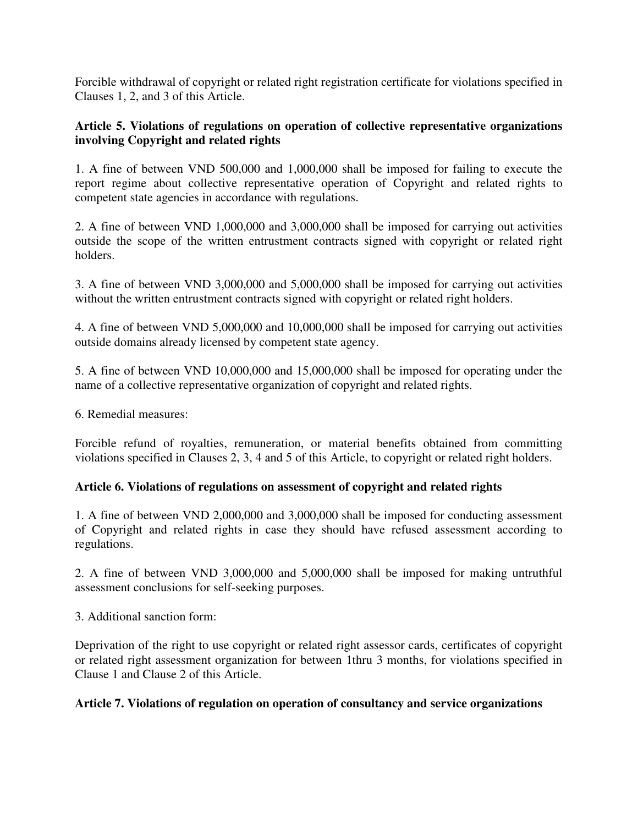Forcible withdrawal of copyright or related right registration certificate for violations specified in Clauses 1, 2, and 3 of this Article.

### **Article 5. Violations of regulations on operation of collective representative organizations involving Copyright and related rights**

1. A fine of between VND 500,000 and 1,000,000 shall be imposed for failing to execute the report regime about collective representative operation of Copyright and related rights to competent state agencies in accordance with regulations.

2. A fine of between VND 1,000,000 and 3,000,000 shall be imposed for carrying out activities outside the scope of the written entrustment contracts signed with copyright or related right holders.

3. A fine of between VND 3,000,000 and 5,000,000 shall be imposed for carrying out activities without the written entrustment contracts signed with copyright or related right holders.

4. A fine of between VND 5,000,000 and 10,000,000 shall be imposed for carrying out activities outside domains already licensed by competent state agency.

5. A fine of between VND 10,000,000 and 15,000,000 shall be imposed for operating under the name of a collective representative organization of copyright and related rights.

6. Remedial measures:

Forcible refund of royalties, remuneration, or material benefits obtained from committing violations specified in Clauses 2, 3, 4 and 5 of this Article, to copyright or related right holders.

### **Article 6. Violations of regulations on assessment of copyright and related rights**

1. A fine of between VND 2,000,000 and 3,000,000 shall be imposed for conducting assessment of Copyright and related rights in case they should have refused assessment according to regulations.

2. A fine of between VND 3,000,000 and 5,000,000 shall be imposed for making untruthful assessment conclusions for self-seeking purposes.

3. Additional sanction form:

Deprivation of the right to use copyright or related right assessor cards, certificates of copyright or related right assessment organization for between 1thru 3 months, for violations specified in Clause 1 and Clause 2 of this Article.

#### **Article 7. Violations of regulation on operation of consultancy and service organizations**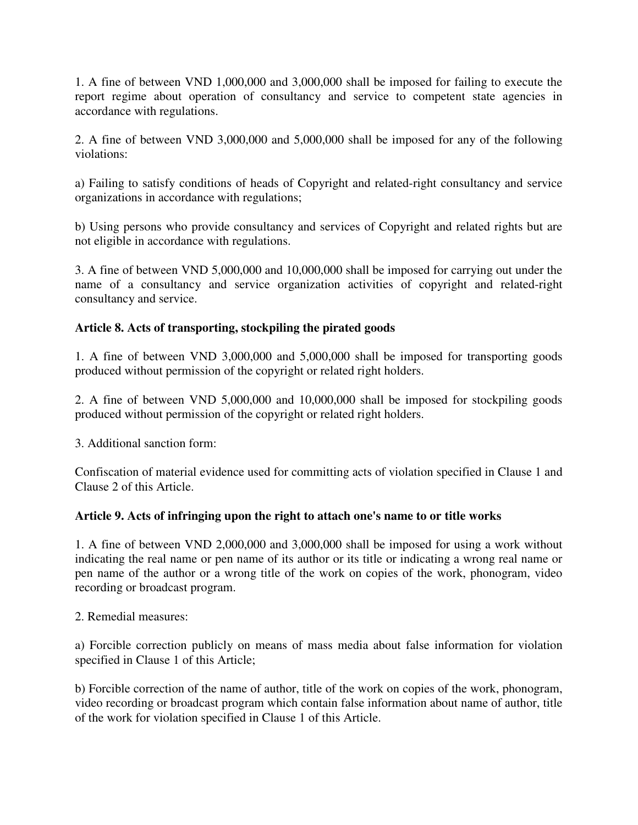1. A fine of between VND 1,000,000 and 3,000,000 shall be imposed for failing to execute the report regime about operation of consultancy and service to competent state agencies in accordance with regulations.

2. A fine of between VND 3,000,000 and 5,000,000 shall be imposed for any of the following violations:

a) Failing to satisfy conditions of heads of Copyright and related-right consultancy and service organizations in accordance with regulations;

b) Using persons who provide consultancy and services of Copyright and related rights but are not eligible in accordance with regulations.

3. A fine of between VND 5,000,000 and 10,000,000 shall be imposed for carrying out under the name of a consultancy and service organization activities of copyright and related-right consultancy and service.

## **Article 8. Acts of transporting, stockpiling the pirated goods**

1. A fine of between VND 3,000,000 and 5,000,000 shall be imposed for transporting goods produced without permission of the copyright or related right holders.

2. A fine of between VND 5,000,000 and 10,000,000 shall be imposed for stockpiling goods produced without permission of the copyright or related right holders.

3. Additional sanction form:

Confiscation of material evidence used for committing acts of violation specified in Clause 1 and Clause 2 of this Article.

### **Article 9. Acts of infringing upon the right to attach one's name to or title works**

1. A fine of between VND 2,000,000 and 3,000,000 shall be imposed for using a work without indicating the real name or pen name of its author or its title or indicating a wrong real name or pen name of the author or a wrong title of the work on copies of the work, phonogram, video recording or broadcast program.

2. Remedial measures:

a) Forcible correction publicly on means of mass media about false information for violation specified in Clause 1 of this Article;

b) Forcible correction of the name of author, title of the work on copies of the work, phonogram, video recording or broadcast program which contain false information about name of author, title of the work for violation specified in Clause 1 of this Article.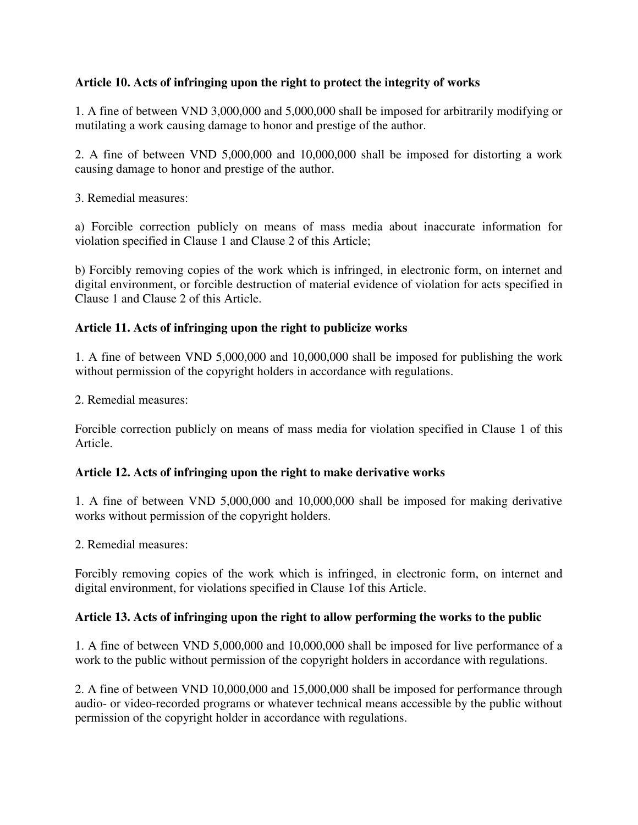### **Article 10. Acts of infringing upon the right to protect the integrity of works**

1. A fine of between VND 3,000,000 and 5,000,000 shall be imposed for arbitrarily modifying or mutilating a work causing damage to honor and prestige of the author.

2. A fine of between VND 5,000,000 and 10,000,000 shall be imposed for distorting a work causing damage to honor and prestige of the author.

3. Remedial measures:

a) Forcible correction publicly on means of mass media about inaccurate information for violation specified in Clause 1 and Clause 2 of this Article;

b) Forcibly removing copies of the work which is infringed, in electronic form, on internet and digital environment, or forcible destruction of material evidence of violation for acts specified in Clause 1 and Clause 2 of this Article.

### **Article 11. Acts of infringing upon the right to publicize works**

1. A fine of between VND 5,000,000 and 10,000,000 shall be imposed for publishing the work without permission of the copyright holders in accordance with regulations.

2. Remedial measures:

Forcible correction publicly on means of mass media for violation specified in Clause 1 of this Article.

### **Article 12. Acts of infringing upon the right to make derivative works**

1. A fine of between VND 5,000,000 and 10,000,000 shall be imposed for making derivative works without permission of the copyright holders.

2. Remedial measures:

Forcibly removing copies of the work which is infringed, in electronic form, on internet and digital environment, for violations specified in Clause 1of this Article.

### **Article 13. Acts of infringing upon the right to allow performing the works to the public**

1. A fine of between VND 5,000,000 and 10,000,000 shall be imposed for live performance of a work to the public without permission of the copyright holders in accordance with regulations.

2. A fine of between VND 10,000,000 and 15,000,000 shall be imposed for performance through audio- or video-recorded programs or whatever technical means accessible by the public without permission of the copyright holder in accordance with regulations.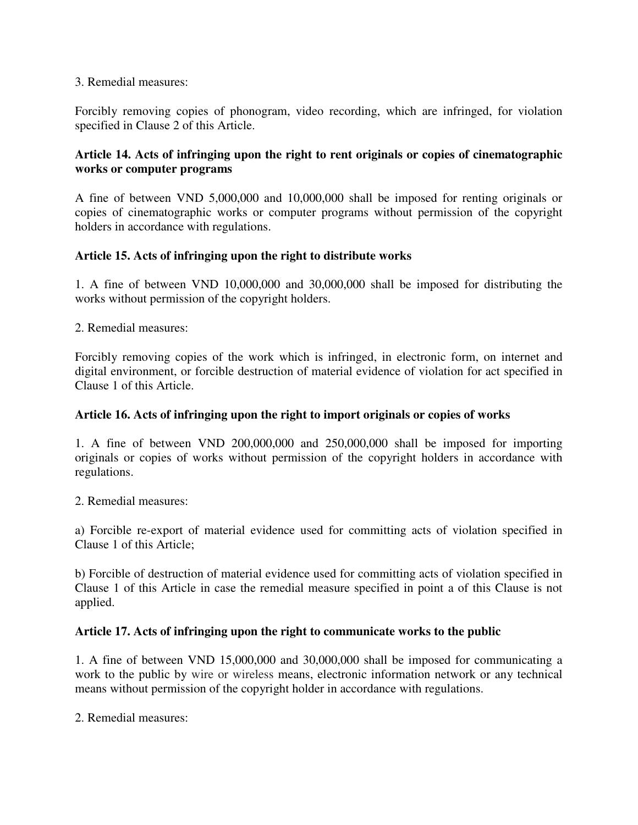#### 3. Remedial measures:

Forcibly removing copies of phonogram, video recording, which are infringed, for violation specified in Clause 2 of this Article.

### **Article 14. Acts of infringing upon the right to rent originals or copies of cinematographic works or computer programs**

A fine of between VND 5,000,000 and 10,000,000 shall be imposed for renting originals or copies of cinematographic works or computer programs without permission of the copyright holders in accordance with regulations.

### **Article 15. Acts of infringing upon the right to distribute works**

1. A fine of between VND 10,000,000 and 30,000,000 shall be imposed for distributing the works without permission of the copyright holders.

2. Remedial measures:

Forcibly removing copies of the work which is infringed, in electronic form, on internet and digital environment, or forcible destruction of material evidence of violation for act specified in Clause 1 of this Article.

#### **Article 16. Acts of infringing upon the right to import originals or copies of works**

1. A fine of between VND 200,000,000 and 250,000,000 shall be imposed for importing originals or copies of works without permission of the copyright holders in accordance with regulations.

2. Remedial measures:

a) Forcible re-export of material evidence used for committing acts of violation specified in Clause 1 of this Article;

b) Forcible of destruction of material evidence used for committing acts of violation specified in Clause 1 of this Article in case the remedial measure specified in point a of this Clause is not applied.

#### **Article 17. Acts of infringing upon the right to communicate works to the public**

1. A fine of between VND 15,000,000 and 30,000,000 shall be imposed for communicating a work to the public by wire or wireless means, electronic information network or any technical means without permission of the copyright holder in accordance with regulations.

2. Remedial measures: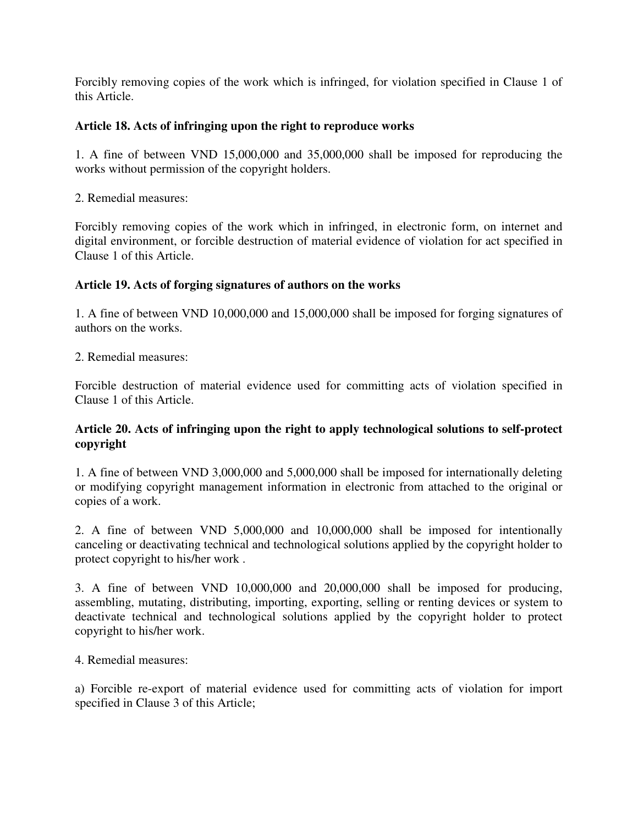Forcibly removing copies of the work which is infringed, for violation specified in Clause 1 of this Article.

### **Article 18. Acts of infringing upon the right to reproduce works**

1. A fine of between VND 15,000,000 and 35,000,000 shall be imposed for reproducing the works without permission of the copyright holders.

2. Remedial measures:

Forcibly removing copies of the work which in infringed, in electronic form, on internet and digital environment, or forcible destruction of material evidence of violation for act specified in Clause 1 of this Article.

#### **Article 19. Acts of forging signatures of authors on the works**

1. A fine of between VND 10,000,000 and 15,000,000 shall be imposed for forging signatures of authors on the works.

2. Remedial measures:

Forcible destruction of material evidence used for committing acts of violation specified in Clause 1 of this Article.

### **Article 20. Acts of infringing upon the right to apply technological solutions to self-protect copyright**

1. A fine of between VND 3,000,000 and 5,000,000 shall be imposed for internationally deleting or modifying copyright management information in electronic from attached to the original or copies of a work.

2. A fine of between VND 5,000,000 and 10,000,000 shall be imposed for intentionally canceling or deactivating technical and technological solutions applied by the copyright holder to protect copyright to his/her work .

3. A fine of between VND 10,000,000 and 20,000,000 shall be imposed for producing, assembling, mutating, distributing, importing, exporting, selling or renting devices or system to deactivate technical and technological solutions applied by the copyright holder to protect copyright to his/her work.

4. Remedial measures:

a) Forcible re-export of material evidence used for committing acts of violation for import specified in Clause 3 of this Article;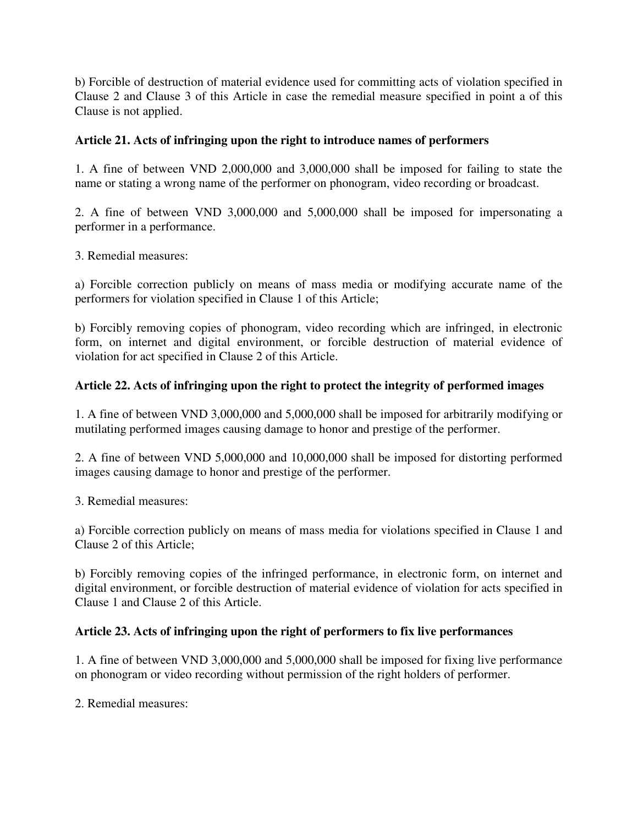b) Forcible of destruction of material evidence used for committing acts of violation specified in Clause 2 and Clause 3 of this Article in case the remedial measure specified in point a of this Clause is not applied.

## **Article 21. Acts of infringing upon the right to introduce names of performers**

1. A fine of between VND 2,000,000 and 3,000,000 shall be imposed for failing to state the name or stating a wrong name of the performer on phonogram, video recording or broadcast.

2. A fine of between VND 3,000,000 and 5,000,000 shall be imposed for impersonating a performer in a performance.

3. Remedial measures:

a) Forcible correction publicly on means of mass media or modifying accurate name of the performers for violation specified in Clause 1 of this Article;

b) Forcibly removing copies of phonogram, video recording which are infringed, in electronic form, on internet and digital environment, or forcible destruction of material evidence of violation for act specified in Clause 2 of this Article.

## **Article 22. Acts of infringing upon the right to protect the integrity of performed images**

1. A fine of between VND 3,000,000 and 5,000,000 shall be imposed for arbitrarily modifying or mutilating performed images causing damage to honor and prestige of the performer.

2. A fine of between VND 5,000,000 and 10,000,000 shall be imposed for distorting performed images causing damage to honor and prestige of the performer.

3. Remedial measures:

a) Forcible correction publicly on means of mass media for violations specified in Clause 1 and Clause 2 of this Article;

b) Forcibly removing copies of the infringed performance, in electronic form, on internet and digital environment, or forcible destruction of material evidence of violation for acts specified in Clause 1 and Clause 2 of this Article.

### **Article 23. Acts of infringing upon the right of performers to fix live performances**

1. A fine of between VND 3,000,000 and 5,000,000 shall be imposed for fixing live performance on phonogram or video recording without permission of the right holders of performer.

2. Remedial measures: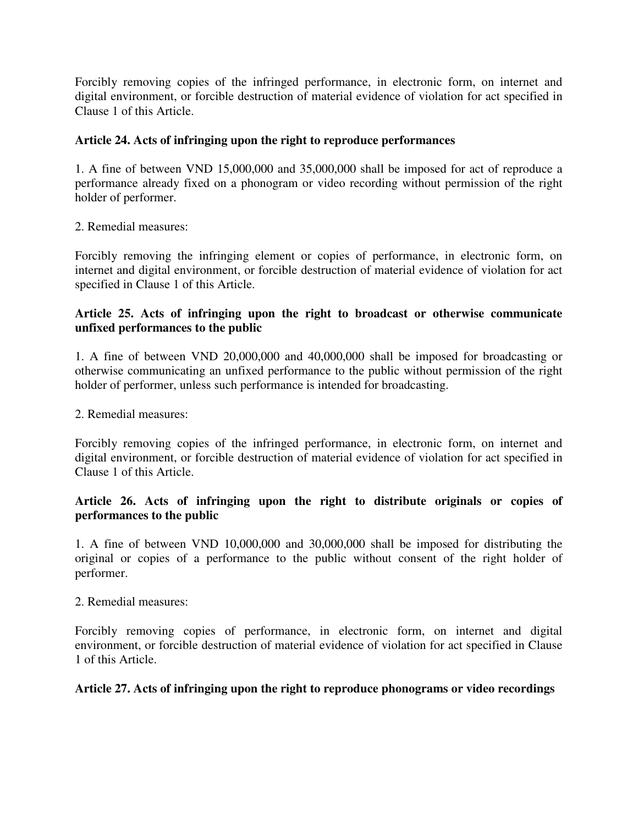Forcibly removing copies of the infringed performance, in electronic form, on internet and digital environment, or forcible destruction of material evidence of violation for act specified in Clause 1 of this Article.

## **Article 24. Acts of infringing upon the right to reproduce performances**

1. A fine of between VND 15,000,000 and 35,000,000 shall be imposed for act of reproduce a performance already fixed on a phonogram or video recording without permission of the right holder of performer.

2. Remedial measures:

Forcibly removing the infringing element or copies of performance, in electronic form, on internet and digital environment, or forcible destruction of material evidence of violation for act specified in Clause 1 of this Article.

### **Article 25. Acts of infringing upon the right to broadcast or otherwise communicate unfixed performances to the public**

1. A fine of between VND 20,000,000 and 40,000,000 shall be imposed for broadcasting or otherwise communicating an unfixed performance to the public without permission of the right holder of performer, unless such performance is intended for broadcasting.

2. Remedial measures:

Forcibly removing copies of the infringed performance, in electronic form, on internet and digital environment, or forcible destruction of material evidence of violation for act specified in Clause 1 of this Article.

### **Article 26. Acts of infringing upon the right to distribute originals or copies of performances to the public**

1. A fine of between VND 10,000,000 and 30,000,000 shall be imposed for distributing the original or copies of a performance to the public without consent of the right holder of performer.

2. Remedial measures:

Forcibly removing copies of performance, in electronic form, on internet and digital environment, or forcible destruction of material evidence of violation for act specified in Clause 1 of this Article.

### **Article 27. Acts of infringing upon the right to reproduce phonograms or video recordings**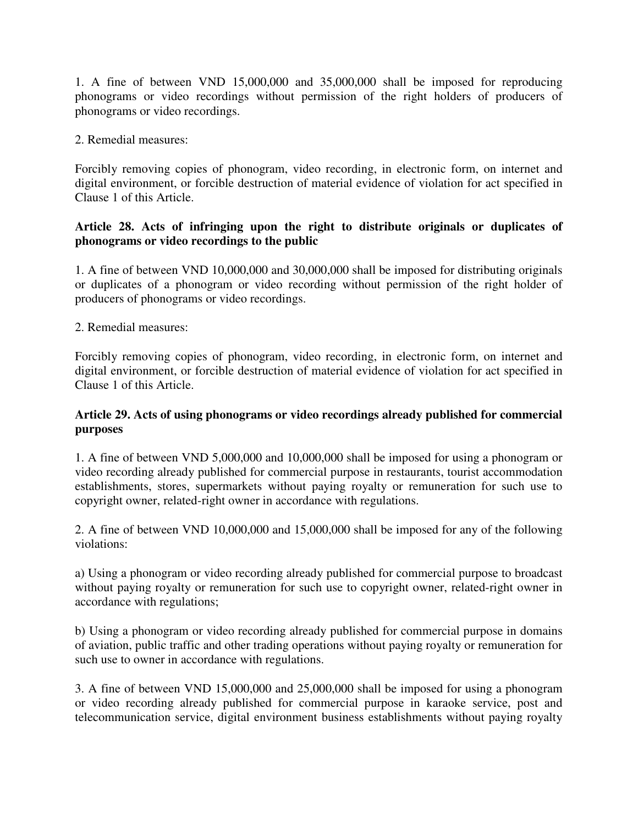1. A fine of between VND 15,000,000 and 35,000,000 shall be imposed for reproducing phonograms or video recordings without permission of the right holders of producers of phonograms or video recordings.

2. Remedial measures:

Forcibly removing copies of phonogram, video recording, in electronic form, on internet and digital environment, or forcible destruction of material evidence of violation for act specified in Clause 1 of this Article.

### **Article 28. Acts of infringing upon the right to distribute originals or duplicates of phonograms or video recordings to the public**

1. A fine of between VND 10,000,000 and 30,000,000 shall be imposed for distributing originals or duplicates of a phonogram or video recording without permission of the right holder of producers of phonograms or video recordings.

2. Remedial measures:

Forcibly removing copies of phonogram, video recording, in electronic form, on internet and digital environment, or forcible destruction of material evidence of violation for act specified in Clause 1 of this Article.

### **Article 29. Acts of using phonograms or video recordings already published for commercial purposes**

1. A fine of between VND 5,000,000 and 10,000,000 shall be imposed for using a phonogram or video recording already published for commercial purpose in restaurants, tourist accommodation establishments, stores, supermarkets without paying royalty or remuneration for such use to copyright owner, related-right owner in accordance with regulations.

2. A fine of between VND 10,000,000 and 15,000,000 shall be imposed for any of the following violations:

a) Using a phonogram or video recording already published for commercial purpose to broadcast without paying royalty or remuneration for such use to copyright owner, related-right owner in accordance with regulations;

b) Using a phonogram or video recording already published for commercial purpose in domains of aviation, public traffic and other trading operations without paying royalty or remuneration for such use to owner in accordance with regulations.

3. A fine of between VND 15,000,000 and 25,000,000 shall be imposed for using a phonogram or video recording already published for commercial purpose in karaoke service, post and telecommunication service, digital environment business establishments without paying royalty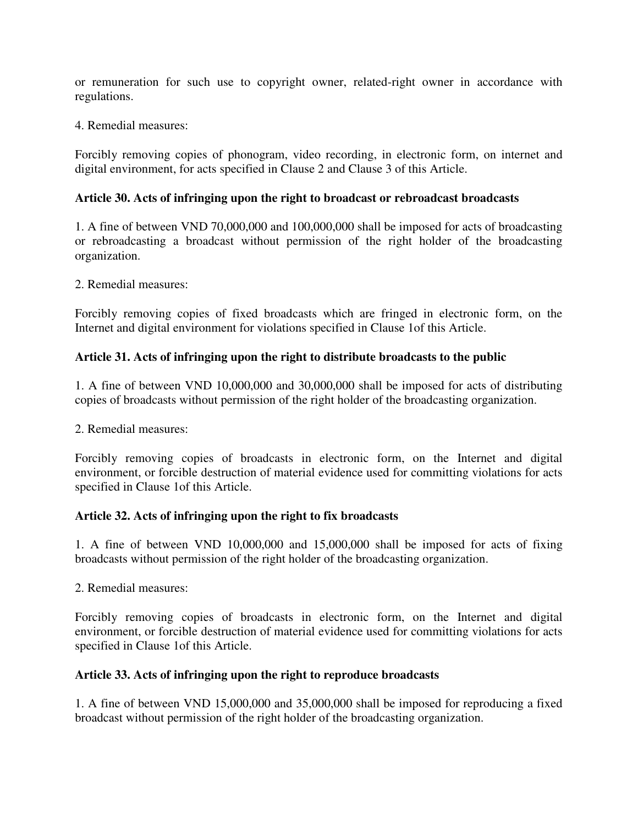or remuneration for such use to copyright owner, related-right owner in accordance with regulations.

4. Remedial measures:

Forcibly removing copies of phonogram, video recording, in electronic form, on internet and digital environment, for acts specified in Clause 2 and Clause 3 of this Article.

### **Article 30. Acts of infringing upon the right to broadcast or rebroadcast broadcasts**

1. A fine of between VND 70,000,000 and 100,000,000 shall be imposed for acts of broadcasting or rebroadcasting a broadcast without permission of the right holder of the broadcasting organization.

2. Remedial measures:

Forcibly removing copies of fixed broadcasts which are fringed in electronic form, on the Internet and digital environment for violations specified in Clause 1of this Article.

### **Article 31. Acts of infringing upon the right to distribute broadcasts to the public**

1. A fine of between VND 10,000,000 and 30,000,000 shall be imposed for acts of distributing copies of broadcasts without permission of the right holder of the broadcasting organization.

#### 2. Remedial measures:

Forcibly removing copies of broadcasts in electronic form, on the Internet and digital environment, or forcible destruction of material evidence used for committing violations for acts specified in Clause 1of this Article.

#### **Article 32. Acts of infringing upon the right to fix broadcasts**

1. A fine of between VND 10,000,000 and 15,000,000 shall be imposed for acts of fixing broadcasts without permission of the right holder of the broadcasting organization.

2. Remedial measures:

Forcibly removing copies of broadcasts in electronic form, on the Internet and digital environment, or forcible destruction of material evidence used for committing violations for acts specified in Clause 1of this Article.

#### **Article 33. Acts of infringing upon the right to reproduce broadcasts**

1. A fine of between VND 15,000,000 and 35,000,000 shall be imposed for reproducing a fixed broadcast without permission of the right holder of the broadcasting organization.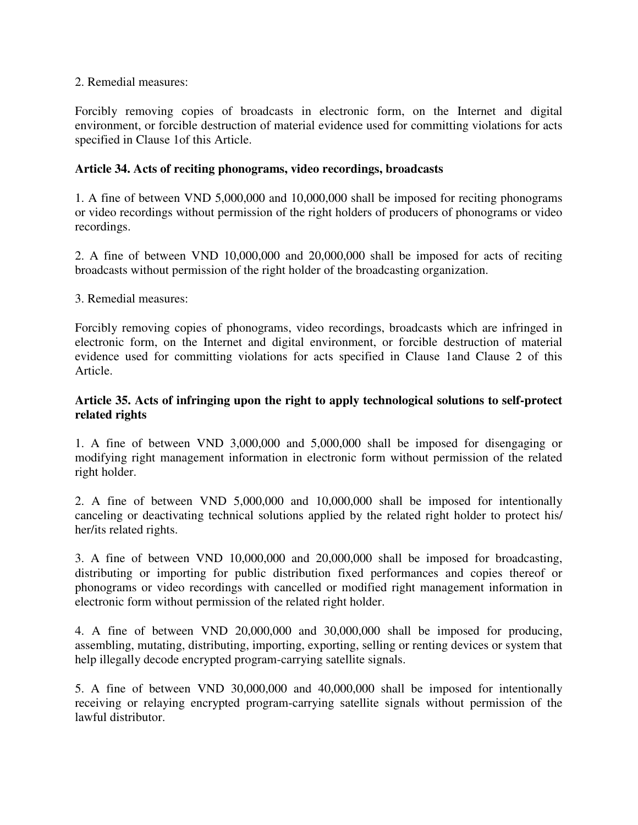#### 2. Remedial measures:

Forcibly removing copies of broadcasts in electronic form, on the Internet and digital environment, or forcible destruction of material evidence used for committing violations for acts specified in Clause 1of this Article.

#### **Article 34. Acts of reciting phonograms, video recordings, broadcasts**

1. A fine of between VND 5,000,000 and 10,000,000 shall be imposed for reciting phonograms or video recordings without permission of the right holders of producers of phonograms or video recordings.

2. A fine of between VND 10,000,000 and 20,000,000 shall be imposed for acts of reciting broadcasts without permission of the right holder of the broadcasting organization.

#### 3. Remedial measures:

Forcibly removing copies of phonograms, video recordings, broadcasts which are infringed in electronic form, on the Internet and digital environment, or forcible destruction of material evidence used for committing violations for acts specified in Clause 1and Clause 2 of this Article.

### **Article 35. Acts of infringing upon the right to apply technological solutions to self-protect related rights**

1. A fine of between VND 3,000,000 and 5,000,000 shall be imposed for disengaging or modifying right management information in electronic form without permission of the related right holder.

2. A fine of between VND 5,000,000 and 10,000,000 shall be imposed for intentionally canceling or deactivating technical solutions applied by the related right holder to protect his/ her/its related rights.

3. A fine of between VND 10,000,000 and 20,000,000 shall be imposed for broadcasting, distributing or importing for public distribution fixed performances and copies thereof or phonograms or video recordings with cancelled or modified right management information in electronic form without permission of the related right holder.

4. A fine of between VND 20,000,000 and 30,000,000 shall be imposed for producing, assembling, mutating, distributing, importing, exporting, selling or renting devices or system that help illegally decode encrypted program-carrying satellite signals.

5. A fine of between VND 30,000,000 and 40,000,000 shall be imposed for intentionally receiving or relaying encrypted program-carrying satellite signals without permission of the lawful distributor.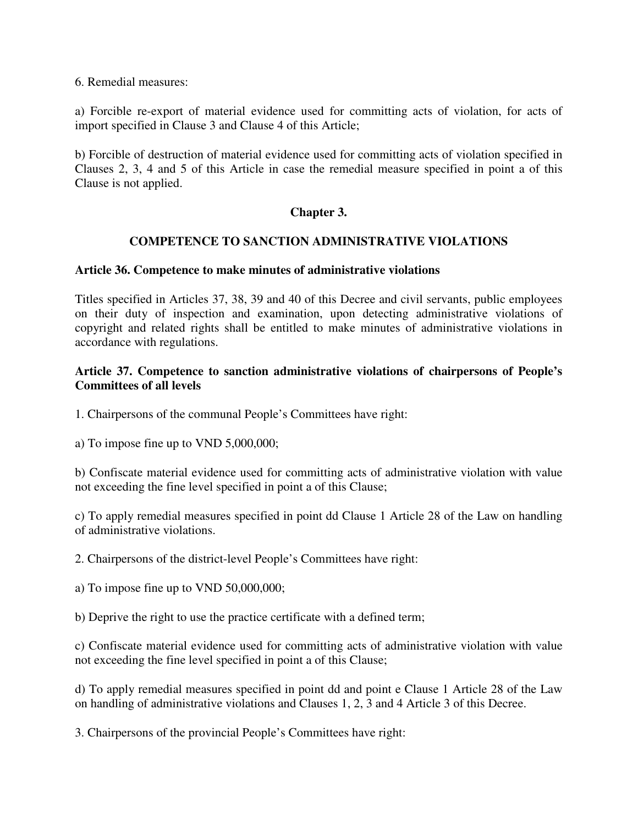6. Remedial measures:

a) Forcible re-export of material evidence used for committing acts of violation, for acts of import specified in Clause 3 and Clause 4 of this Article;

b) Forcible of destruction of material evidence used for committing acts of violation specified in Clauses 2, 3, 4 and 5 of this Article in case the remedial measure specified in point a of this Clause is not applied.

### **Chapter 3.**

### **COMPETENCE TO SANCTION ADMINISTRATIVE VIOLATIONS**

#### **Article 36. Competence to make minutes of administrative violations**

Titles specified in Articles 37, 38, 39 and 40 of this Decree and civil servants, public employees on their duty of inspection and examination, upon detecting administrative violations of copyright and related rights shall be entitled to make minutes of administrative violations in accordance with regulations.

#### **Article 37. Competence to sanction administrative violations of chairpersons of People's Committees of all levels**

1. Chairpersons of the communal People's Committees have right:

a) To impose fine up to VND 5,000,000;

b) Confiscate material evidence used for committing acts of administrative violation with value not exceeding the fine level specified in point a of this Clause;

c) To apply remedial measures specified in point dd Clause 1 Article 28 of the Law on handling of administrative violations.

2. Chairpersons of the district-level People's Committees have right:

a) To impose fine up to VND 50,000,000;

b) Deprive the right to use the practice certificate with a defined term;

c) Confiscate material evidence used for committing acts of administrative violation with value not exceeding the fine level specified in point a of this Clause;

d) To apply remedial measures specified in point dd and point e Clause 1 Article 28 of the Law on handling of administrative violations and Clauses 1, 2, 3 and 4 Article 3 of this Decree.

3. Chairpersons of the provincial People's Committees have right: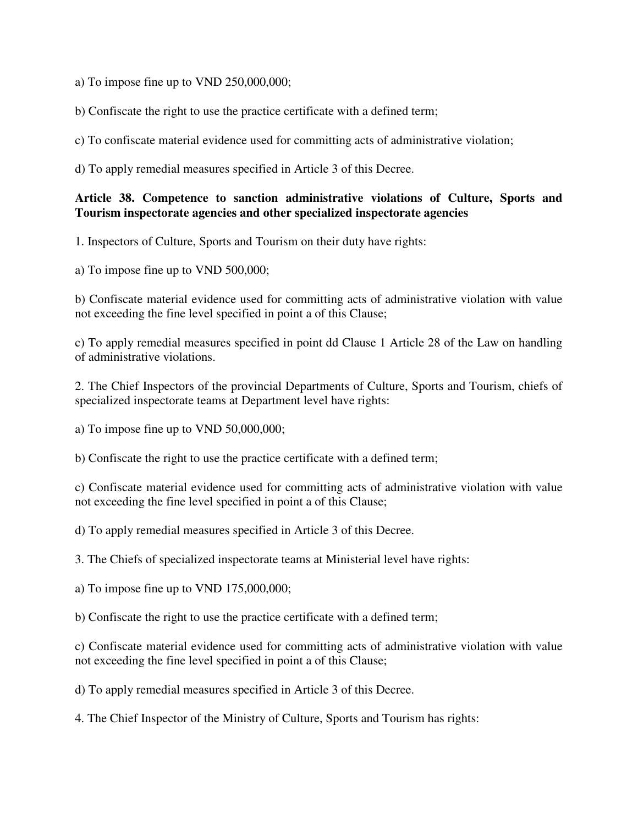a) To impose fine up to VND 250,000,000;

b) Confiscate the right to use the practice certificate with a defined term;

c) To confiscate material evidence used for committing acts of administrative violation;

d) To apply remedial measures specified in Article 3 of this Decree.

### **Article 38. Competence to sanction administrative violations of Culture, Sports and Tourism inspectorate agencies and other specialized inspectorate agencies**

1. Inspectors of Culture, Sports and Tourism on their duty have rights:

a) To impose fine up to VND 500,000;

b) Confiscate material evidence used for committing acts of administrative violation with value not exceeding the fine level specified in point a of this Clause;

c) To apply remedial measures specified in point dd Clause 1 Article 28 of the Law on handling of administrative violations.

2. The Chief Inspectors of the provincial Departments of Culture, Sports and Tourism, chiefs of specialized inspectorate teams at Department level have rights:

a) To impose fine up to VND 50,000,000;

b) Confiscate the right to use the practice certificate with a defined term;

c) Confiscate material evidence used for committing acts of administrative violation with value not exceeding the fine level specified in point a of this Clause;

d) To apply remedial measures specified in Article 3 of this Decree.

3. The Chiefs of specialized inspectorate teams at Ministerial level have rights:

a) To impose fine up to VND 175,000,000;

b) Confiscate the right to use the practice certificate with a defined term;

c) Confiscate material evidence used for committing acts of administrative violation with value not exceeding the fine level specified in point a of this Clause;

d) To apply remedial measures specified in Article 3 of this Decree.

4. The Chief Inspector of the Ministry of Culture, Sports and Tourism has rights: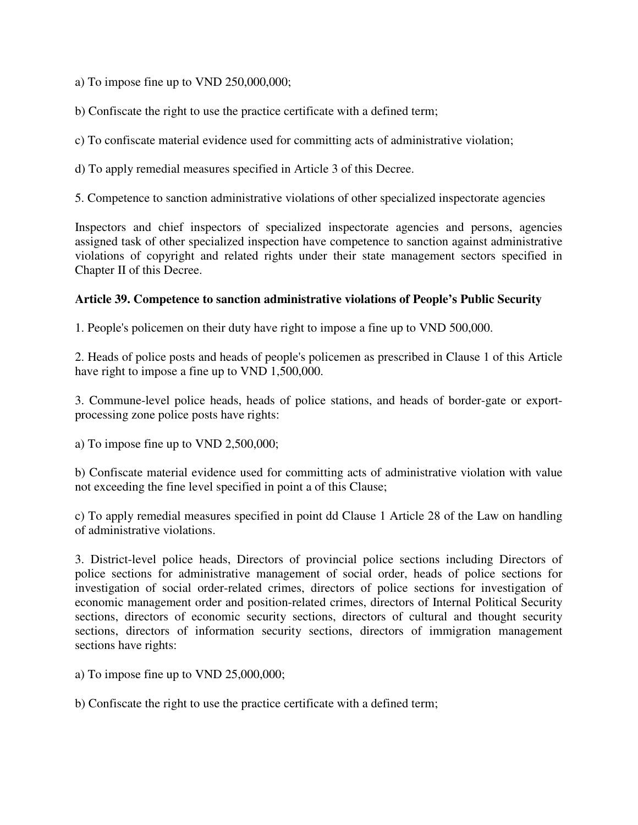a) To impose fine up to VND 250,000,000;

b) Confiscate the right to use the practice certificate with a defined term;

c) To confiscate material evidence used for committing acts of administrative violation;

d) To apply remedial measures specified in Article 3 of this Decree.

5. Competence to sanction administrative violations of other specialized inspectorate agencies

Inspectors and chief inspectors of specialized inspectorate agencies and persons, agencies assigned task of other specialized inspection have competence to sanction against administrative violations of copyright and related rights under their state management sectors specified in Chapter II of this Decree.

#### **Article 39. Competence to sanction administrative violations of People's Public Security**

1. People's policemen on their duty have right to impose a fine up to VND 500,000.

2. Heads of police posts and heads of people's policemen as prescribed in Clause 1 of this Article have right to impose a fine up to VND 1,500,000.

3. Commune-level police heads, heads of police stations, and heads of border-gate or exportprocessing zone police posts have rights:

a) To impose fine up to VND 2,500,000;

b) Confiscate material evidence used for committing acts of administrative violation with value not exceeding the fine level specified in point a of this Clause;

c) To apply remedial measures specified in point dd Clause 1 Article 28 of the Law on handling of administrative violations.

3. District-level police heads, Directors of provincial police sections including Directors of police sections for administrative management of social order, heads of police sections for investigation of social order-related crimes, directors of police sections for investigation of economic management order and position-related crimes, directors of Internal Political Security sections, directors of economic security sections, directors of cultural and thought security sections, directors of information security sections, directors of immigration management sections have rights:

a) To impose fine up to VND 25,000,000;

b) Confiscate the right to use the practice certificate with a defined term;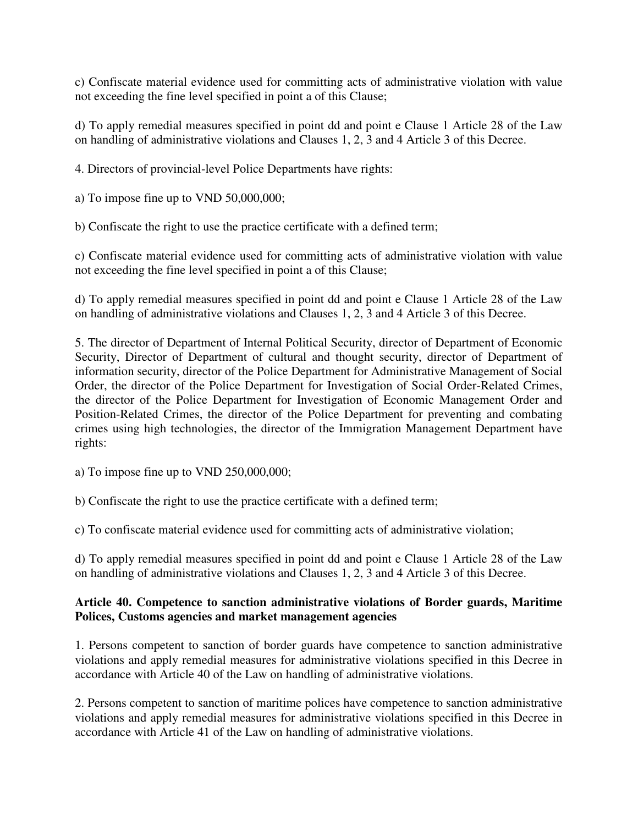c) Confiscate material evidence used for committing acts of administrative violation with value not exceeding the fine level specified in point a of this Clause;

d) To apply remedial measures specified in point dd and point e Clause 1 Article 28 of the Law on handling of administrative violations and Clauses 1, 2, 3 and 4 Article 3 of this Decree.

4. Directors of provincial-level Police Departments have rights:

a) To impose fine up to VND 50,000,000;

b) Confiscate the right to use the practice certificate with a defined term;

c) Confiscate material evidence used for committing acts of administrative violation with value not exceeding the fine level specified in point a of this Clause;

d) To apply remedial measures specified in point dd and point e Clause 1 Article 28 of the Law on handling of administrative violations and Clauses 1, 2, 3 and 4 Article 3 of this Decree.

5. The director of Department of Internal Political Security, director of Department of Economic Security, Director of Department of cultural and thought security, director of Department of information security, director of the Police Department for Administrative Management of Social Order, the director of the Police Department for Investigation of Social Order-Related Crimes, the director of the Police Department for Investigation of Economic Management Order and Position-Related Crimes, the director of the Police Department for preventing and combating crimes using high technologies, the director of the Immigration Management Department have rights:

a) To impose fine up to VND 250,000,000;

b) Confiscate the right to use the practice certificate with a defined term;

c) To confiscate material evidence used for committing acts of administrative violation;

d) To apply remedial measures specified in point dd and point e Clause 1 Article 28 of the Law on handling of administrative violations and Clauses 1, 2, 3 and 4 Article 3 of this Decree.

### **Article 40. Competence to sanction administrative violations of Border guards, Maritime Polices, Customs agencies and market management agencies**

1. Persons competent to sanction of border guards have competence to sanction administrative violations and apply remedial measures for administrative violations specified in this Decree in accordance with Article 40 of the Law on handling of administrative violations.

2. Persons competent to sanction of maritime polices have competence to sanction administrative violations and apply remedial measures for administrative violations specified in this Decree in accordance with Article 41 of the Law on handling of administrative violations.